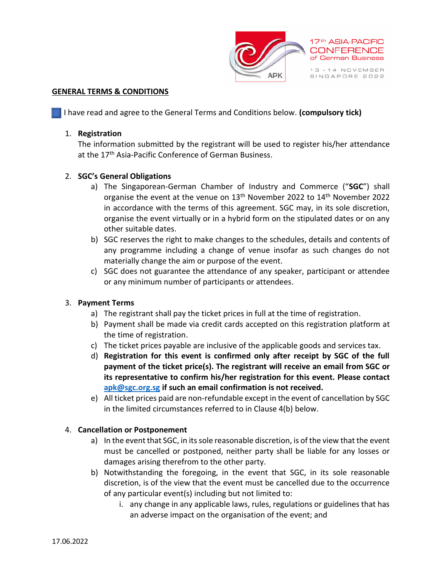

#### **GENERAL TERMS & CONDITIONS**

I have read and agree to the General Terms and Conditions below. **(compulsory tick)**

#### 1. **Registration**

The information submitted by the registrant will be used to register his/her attendance at the 17<sup>th</sup> Asia-Pacific Conference of German Business.

## 2. **SGC's General Obligations**

- a) The Singaporean-German Chamber of Industry and Commerce ("**SGC**") shall organise the event at the venue on 13<sup>th</sup> November 2022 to 14<sup>th</sup> November 2022 in accordance with the terms of this agreement. SGC may, in its sole discretion, organise the event virtually or in a hybrid form on the stipulated dates or on any other suitable dates.
- b) SGC reserves the right to make changes to the schedules, details and contents of any programme including a change of venue insofar as such changes do not materially change the aim or purpose of the event.
- c) SGC does not guarantee the attendance of any speaker, participant or attendee or any minimum number of participants or attendees.

## 3. **Payment Terms**

- a) The registrant shall pay the ticket prices in full at the time of registration.
- b) Payment shall be made via credit cards accepted on this registration platform at the time of registration.
- c) The ticket prices payable are inclusive of the applicable goods and services tax.
- d) **Registration for this event is confirmed only after receipt by SGC of the full payment of the ticket price(s). The registrant will receive an email from SGC or its representative to confirm his/her registration for this event. Please contact [apk@sgc.org.sg](mailto:apk@sgc.org.sg) if such an email confirmation is not received.**
- e) All ticket prices paid are non-refundable except in the event of cancellation by SGC in the limited circumstances referred to in Clause 4(b) below.

## 4. **Cancellation or Postponement**

- a) In the event that SGC, in its sole reasonable discretion, is of the view that the event must be cancelled or postponed, neither party shall be liable for any losses or damages arising therefrom to the other party.
- b) Notwithstanding the foregoing, in the event that SGC, in its sole reasonable discretion, is of the view that the event must be cancelled due to the occurrence of any particular event(s) including but not limited to:
	- i. any change in any applicable laws, rules, regulations or guidelines that has an adverse impact on the organisation of the event; and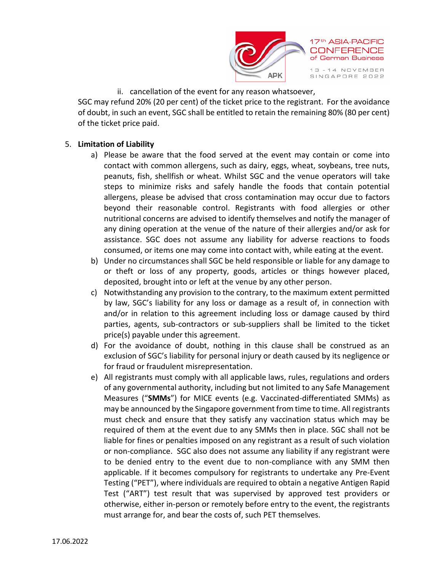

ii. cancellation of the event for any reason whatsoever,

SGC may refund 20% (20 per cent) of the ticket price to the registrant. For the avoidance of doubt, in such an event, SGC shall be entitled to retain the remaining 80% (80 per cent) of the ticket price paid.

# 5. **Limitation of Liability**

- a) Please be aware that the food served at the event may contain or come into contact with common allergens, such as dairy, eggs, wheat, soybeans, tree nuts, peanuts, fish, shellfish or wheat. Whilst SGC and the venue operators will take steps to minimize risks and safely handle the foods that contain potential allergens, please be advised that cross contamination may occur due to factors beyond their reasonable control. Registrants with food allergies or other nutritional concerns are advised to identify themselves and notify the manager of any dining operation at the venue of the nature of their allergies and/or ask for assistance. SGC does not assume any liability for adverse reactions to foods consumed, or items one may come into contact with, while eating at the event.
- b) Under no circumstances shall SGC be held responsible or liable for any damage to or theft or loss of any property, goods, articles or things however placed, deposited, brought into or left at the venue by any other person.
- c) Notwithstanding any provision to the contrary, to the maximum extent permitted by law, SGC's liability for any loss or damage as a result of, in connection with and/or in relation to this agreement including loss or damage caused by third parties, agents, sub-contractors or sub-suppliers shall be limited to the ticket price(s) payable under this agreement.
- d) For the avoidance of doubt, nothing in this clause shall be construed as an exclusion of SGC's liability for personal injury or death caused by its negligence or for fraud or fraudulent misrepresentation.
- e) All registrants must comply with all applicable laws, rules, regulations and orders of any governmental authority, including but not limited to any Safe Management Measures ("**SMMs**") for MICE events (e.g. Vaccinated-differentiated SMMs) as may be announced by the Singapore government from time to time. All registrants must check and ensure that they satisfy any vaccination status which may be required of them at the event due to any SMMs then in place. SGC shall not be liable for fines or penalties imposed on any registrant as a result of such violation or non-compliance. SGC also does not assume any liability if any registrant were to be denied entry to the event due to non-compliance with any SMM then applicable. If it becomes compulsory for registrants to undertake any Pre-Event Testing ("PET"), where individuals are required to obtain a negative Antigen Rapid Test ("ART") test result that was supervised by approved test providers or otherwise, either in-person or remotely before entry to the event, the registrants must arrange for, and bear the costs of, such PET themselves.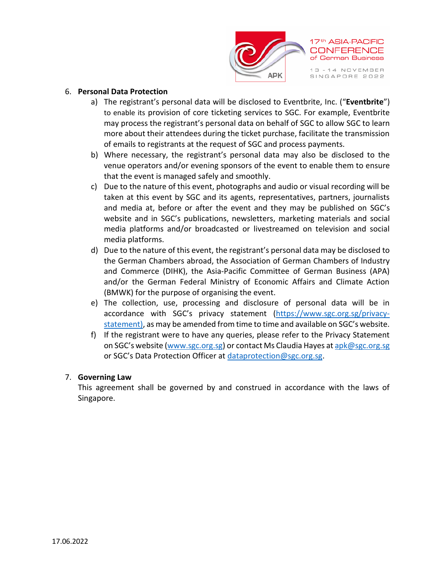

## 6. **Personal Data Protection**

- a) The registrant's personal data will be disclosed to Eventbrite, Inc. ("**Eventbrite**") to enable its provision of core ticketing services to SGC. For example, Eventbrite may process the registrant's personal data on behalf of SGC to allow SGC to learn more about their attendees during the ticket purchase, facilitate the transmission of emails to registrants at the request of SGC and process payments.
- b) Where necessary, the registrant's personal data may also be disclosed to the venue operators and/or evening sponsors of the event to enable them to ensure that the event is managed safely and smoothly.
- c) Due to the nature of this event, photographs and audio or visual recording will be taken at this event by SGC and its agents, representatives, partners, journalists and media at, before or after the event and they may be published on SGC's website and in SGC's publications, newsletters, marketing materials and social media platforms and/or broadcasted or livestreamed on television and social media platforms.
- d) Due to the nature of this event, the registrant's personal data may be disclosed to the German Chambers abroad, the Association of German Chambers of Industry and Commerce (DIHK), the Asia-Pacific Committee of German Business (APA) and/or the German Federal Ministry of Economic Affairs and Climate Action (BMWK) for the purpose of organising the event.
- e) The collection, use, processing and disclosure of personal data will be in accordance with SGC's privacy statement ([https://www.sgc.org.sg/privacy](https://www.sgc.org.sg/privacy-statement)[statement\)](https://www.sgc.org.sg/privacy-statement), as may be amended from time to time and available on SGC's website.
- f) If the registrant were to have any queries, please refer to the Privacy Statement on SGC's website [\(www.sgc.org.sg\)](http://www.sgc.org.sg/) or contact Ms Claudia Hayes at [apk@sgc.org.sg](mailto:apk@sgc.org.sg) or SGC's Data Protection Officer at [dataprotection@sgc.org.sg.](mailto:dataprotection@sgc.org.sg)

## 7. **Governing Law**

This agreement shall be governed by and construed in accordance with the laws of Singapore.